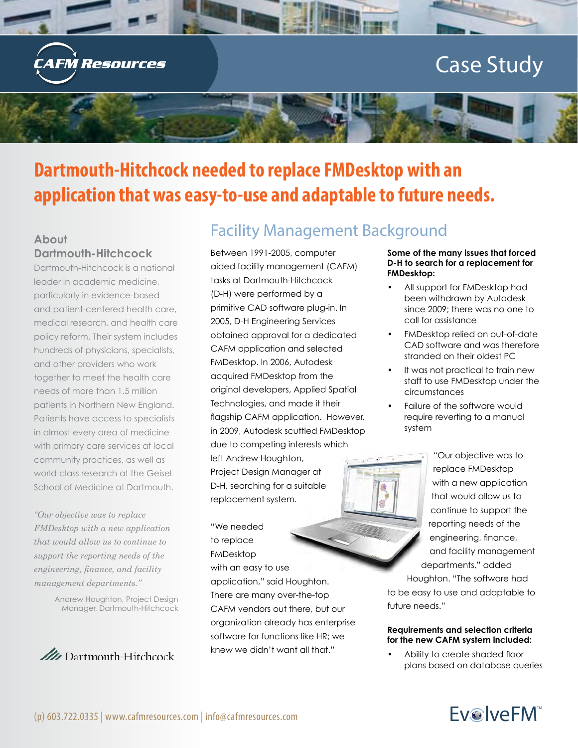

# **Dartmouth-Hitchcock needed to replace FMDesktop with an application that was easy-to-use and adaptable to future needs.**

### **About Dartmouth-Hitchcock**

Dartmouth-Hitchcock is a national leader in academic medicine, particularly in evidence-based and patient-centered health care, medical research, and health care policy reform. Their system includes hundreds of physicians, specialists, and other providers who work together to meet the health care needs of more than 1.5 million patients in Northern New England. Patients have access to specialists in almost every area of medicine with primary care services at local community practices, as well as world-class research at the Geisel School of Medicine at Dartmouth.

*"Our objective was to replace FMDesktop with a new application that would allow us to continue to support the reporting needs of the engineering, finance, and facility management departments."*

> Andrew Houghton, Project Design Manager, Dartmouth-Hitchcock



# Facility Management Background

Between 1991-2005, computer aided facility management (CAFM) tasks at Dartmouth-Hitchcock (D-H) were performed by a primitive CAD software plug-in. In 2005, D-H Engineering Services obtained approval for a dedicated CAFM application and selected FMDesktop. In 2006, Autodesk acquired FMDesktop from the original developers, Applied Spatial Technologies, and made it their flagship CAFM application. However, in 2009, Autodesk scuttled FMDesktop due to competing interests which

left Andrew Houghton, Project Design Manager at D-H, searching for a suitable replacement system.

"We needed to replace FMDesktop with an easy to use application," said Houghton. There are many over-the-top CAFM vendors out there, but our organization already has enterprise software for functions like HR; we knew we didn't want all that."

#### **Some of the many issues that forced D-H to search for a replacement for FMDesktop:**

- All support for FMDesktop had been withdrawn by Autodesk since 2009; there was no one to call for assistance
- FMDesktop relied on out-of-date CAD software and was therefore stranded on their oldest PC
- It was not practical to train new staff to use FMDesktop under the circumstances
- Failure of the software would require reverting to a manual system

"Our objective was to replace FMDesktop with a new application that would allow us to continue to support the reporting needs of the engineering, finance, and facility management departments," added

Houghton. "The software had to be easy to use and adaptable to future needs."

#### **Requirements and selection criteria for the new CAFM system included:**

• Ability to create shaded floor plans based on database queries